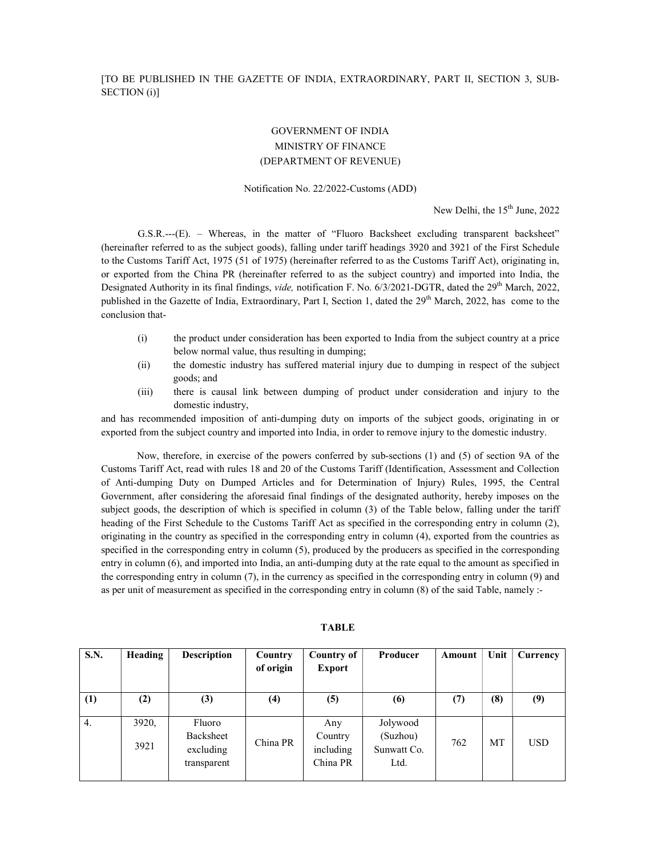## GOVERNMENT OF INDIA MINISTRY OF FINANCE (DEPARTMENT OF REVENUE)

## Notification No. 22/2022-Customs (ADD)

New Delhi, the 15<sup>th</sup> June, 2022

G.S.R.---(E). – Whereas, in the matter of "Fluoro Backsheet excluding transparent backsheet" (hereinafter referred to as the subject goods), falling under tariff headings 3920 and 3921 of the First Schedule to the Customs Tariff Act, 1975 (51 of 1975) (hereinafter referred to as the Customs Tariff Act), originating in, or exported from the China PR (hereinafter referred to as the subject country) and imported into India, the Designated Authority in its final findings, vide, notification F. No. 6/3/2021-DGTR, dated the 29<sup>th</sup> March, 2022, published in the Gazette of India, Extraordinary, Part I, Section 1, dated the 29<sup>th</sup> March, 2022, has come to the conclusion that-

- (i) the product under consideration has been exported to India from the subject country at a price below normal value, thus resulting in dumping;
- (ii) the domestic industry has suffered material injury due to dumping in respect of the subject goods; and
- (iii) there is causal link between dumping of product under consideration and injury to the domestic industry,

and has recommended imposition of anti-dumping duty on imports of the subject goods, originating in or exported from the subject country and imported into India, in order to remove injury to the domestic industry.

Now, therefore, in exercise of the powers conferred by sub-sections (1) and (5) of section 9A of the Customs Tariff Act, read with rules 18 and 20 of the Customs Tariff (Identification, Assessment and Collection of Anti-dumping Duty on Dumped Articles and for Determination of Injury) Rules, 1995, the Central Government, after considering the aforesaid final findings of the designated authority, hereby imposes on the subject goods, the description of which is specified in column (3) of the Table below, falling under the tariff heading of the First Schedule to the Customs Tariff Act as specified in the corresponding entry in column (2), originating in the country as specified in the corresponding entry in column (4), exported from the countries as specified in the corresponding entry in column (5), produced by the producers as specified in the corresponding entry in column (6), and imported into India, an anti-dumping duty at the rate equal to the amount as specified in the corresponding entry in column (7), in the currency as specified in the corresponding entry in column (9) and as per unit of measurement as specified in the corresponding entry in column (8) of the said Table, namely :-

| S.N. | Heading       | <b>Description</b>                              | Country<br>of origin | Country of<br><b>Export</b>             | Producer                                    | Amount | Unit      | Currency   |
|------|---------------|-------------------------------------------------|----------------------|-----------------------------------------|---------------------------------------------|--------|-----------|------------|
| (1)  | (2)           | (3)                                             | (4)                  | (5)                                     | (6)                                         | (7)    | (8)       | (9)        |
| 4.   | 3920,<br>3921 | Fluoro<br>Backsheet<br>excluding<br>transparent | China PR             | Any<br>Country<br>including<br>China PR | Jolywood<br>(Suzhou)<br>Sunwatt Co.<br>Ltd. | 762    | <b>MT</b> | <b>USD</b> |

## TABLE